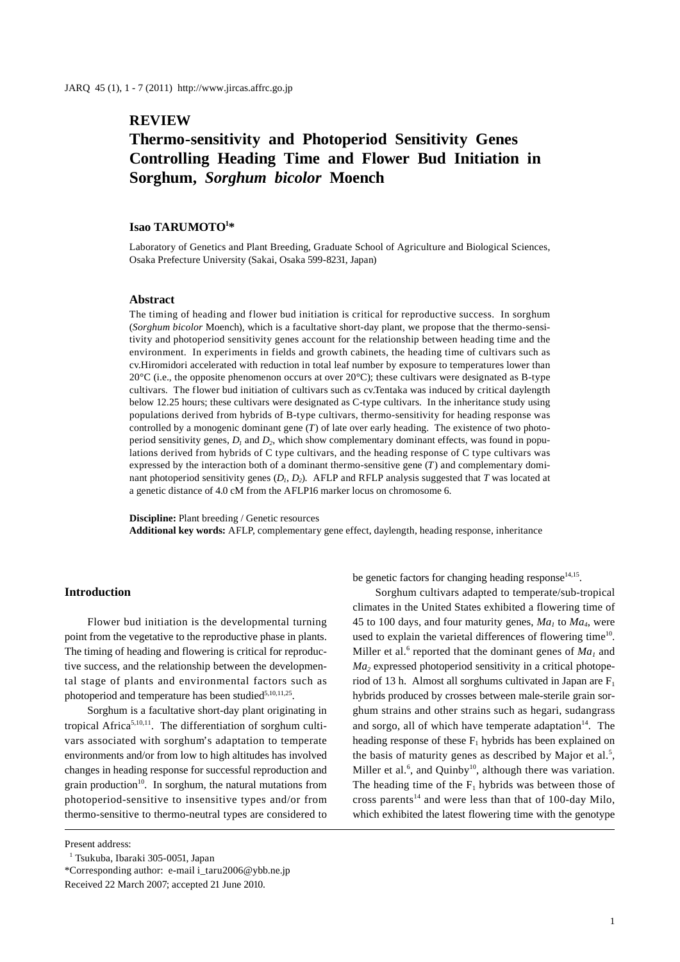# **REVIEW**

# **Thermo-sensitivity and Photoperiod Sensitivity Genes Controlling Heading Time and Flower Bud Initiation in Sorghum,** *Sorghum bicolor* **Moench**

## **Isao TARUMOTO1 \***

Laboratory of Genetics and Plant Breeding, Graduate School of Agriculture and Biological Sciences, Osaka Prefecture University (Sakai, Osaka 599-8231, Japan)

#### **Abstract**

The timing of heading and flower bud initiation is critical for reproductive success. In sorghum (*Sorghum bicolor* Moench), which is a facultative short-day plant, we propose that the thermo-sensitivity and photoperiod sensitivity genes account for the relationship between heading time and the environment. In experiments in fields and growth cabinets, the heading time of cultivars such as cv.Hiromidori accelerated with reduction in total leaf number by exposure to temperatures lower than 20°C (i.e., the opposite phenomenon occurs at over 20°C); these cultivars were designated as B-type cultivars. The flower bud initiation of cultivars such as cv.Tentaka was induced by critical daylength below 12.25 hours; these cultivars were designated as C-type cultivars. In the inheritance study using populations derived from hybrids of B-type cultivars, thermo-sensitivity for heading response was controlled by a monogenic dominant gene (*T*) of late over early heading. The existence of two photoperiod sensitivity genes,  $D_1$  and  $D_2$ , which show complementary dominant effects, was found in populations derived from hybrids of C type cultivars, and the heading response of C type cultivars was expressed by the interaction both of a dominant thermo-sensitive gene (*T*) and complementary dominant photoperiod sensitivity genes  $(D_1, D_2)$ . AFLP and RFLP analysis suggested that *T* was located at a genetic distance of 4.0 cM from the AFLP16 marker locus on chromosome 6.

**Discipline:** Plant breeding / Genetic resources **Additional key words:** AFLP, complementary gene effect, daylength, heading response, inheritance

#### **Introduction**

Flower bud initiation is the developmental turning point from the vegetative to the reproductive phase in plants. The timing of heading and flowering is critical for reproductive success, and the relationship between the developmental stage of plants and environmental factors such as photoperiod and temperature has been studied $5,10,11,25$ .

Sorghum is a facultative short-day plant originating in tropical Africa<sup>5,10,11</sup>. The differentiation of sorghum cultivars associated with sorghum's adaptation to temperate environments and/or from low to high altitudes has involved changes in heading response for successful reproduction and grain production $10$ . In sorghum, the natural mutations from photoperiod-sensitive to insensitive types and/or from thermo-sensitive to thermo-neutral types are considered to

Present address:

be genetic factors for changing heading response  $14,15$ .

Sorghum cultivars adapted to temperate/sub-tropical climates in the United States exhibited a flowering time of 45 to 100 days, and four maturity genes,  $Ma_1$  to  $Ma_4$ , were used to explain the varietal differences of flowering time<sup>10</sup>. Miller et al.<sup>6</sup> reported that the dominant genes of  $Ma<sub>1</sub>$  and *Ma2* expressed photoperiod sensitivity in a critical photoperiod of 13 h. Almost all sorghums cultivated in Japan are  $F_1$ hybrids produced by crosses between male-sterile grain sorghum strains and other strains such as hegari, sudangrass and sorgo, all of which have temperate adaptation<sup>14</sup>. The heading response of these  $F_1$  hybrids has been explained on the basis of maturity genes as described by Major et al.<sup>5</sup>, Miller et al. $<sup>6</sup>$ , and Quinby<sup>10</sup>, although there was variation.</sup> The heading time of the  $F_1$  hybrids was between those of cross parents<sup>14</sup> and were less than that of 100-day Milo, which exhibited the latest flowering time with the genotype

<sup>&</sup>lt;sup>1</sup> Tsukuba, Ibaraki 305-0051, Japan

<sup>\*</sup>Corresponding author: e-mail i\_taru2006@ybb.ne.jp

Received 22 March 2007; accepted 21 June 2010.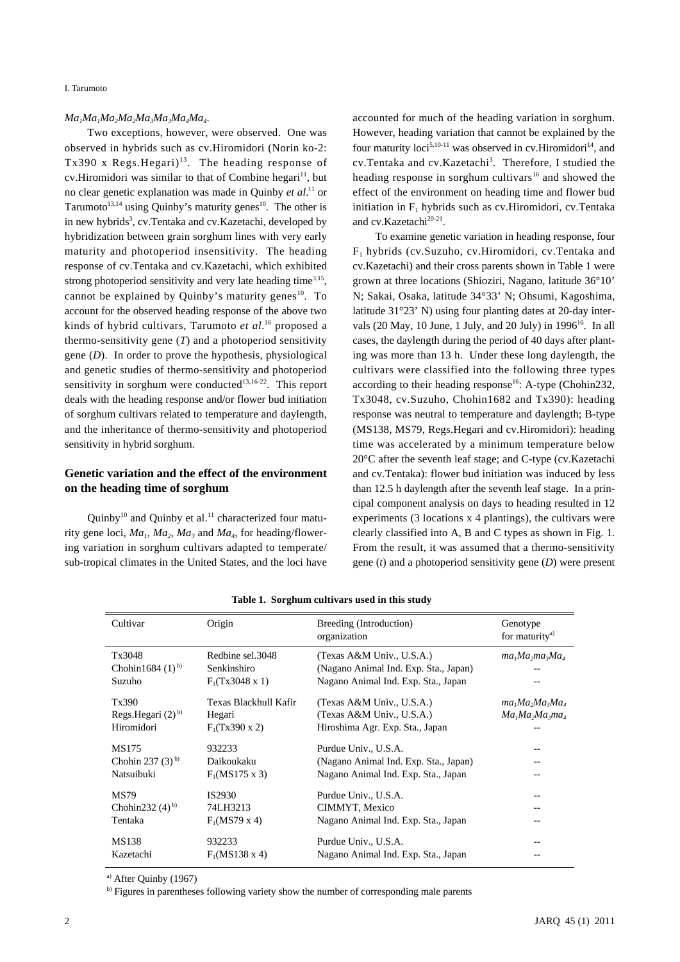I. Tarumoto

#### $Ma<sub>1</sub>Ma<sub>2</sub>Ma<sub>2</sub>Ma<sub>3</sub>Ma<sub>3</sub>Ma<sub>4</sub>Ma<sub>4</sub>$ .

Two exceptions, however, were observed. One was observed in hybrids such as cv.Hiromidori (Norin ko-2: Tx390 x Regs. Hegari)<sup>13</sup>. The heading response of cv. Hiromidori was similar to that of Combine hegari<sup>11</sup>, but no clear genetic explanation was made in Quinby *et al*. 11 or Tarumoto<sup>13,14</sup> using Quinby's maturity genes<sup>10</sup>. The other is in new hybrids<sup>3</sup>, cv. Tentaka and cv. Kazetachi, developed by hybridization between grain sorghum lines with very early maturity and photoperiod insensitivity. The heading response of cv.Tentaka and cv.Kazetachi, which exhibited strong photoperiod sensitivity and very late heading time<sup>3,15</sup>, cannot be explained by Quinby's maturity genes $10$ . To account for the observed heading response of the above two kinds of hybrid cultivars, Tarumoto *et al*. 16 proposed a thermo-sensitivity gene (*T*) and a photoperiod sensitivity gene (*D*). In order to prove the hypothesis, physiological and genetic studies of thermo-sensitivity and photoperiod sensitivity in sorghum were conducted<sup>13,16-22</sup>. This report deals with the heading response and/or flower bud initiation of sorghum cultivars related to temperature and daylength, and the inheritance of thermo-sensitivity and photoperiod sensitivity in hybrid sorghum.

# **Genetic variation and the effect of the environment on the heading time of sorghum**

Quinby<sup>10</sup> and Quinby et al.<sup>11</sup> characterized four maturity gene loci,  $Ma_1$ ,  $Ma_2$ ,  $Ma_3$  and  $Ma_4$ , for heading/flowering variation in sorghum cultivars adapted to temperate/ sub-tropical climates in the United States, and the loci have

accounted for much of the heading variation in sorghum. However, heading variation that cannot be explained by the four maturity loci<sup>5,10-11</sup> was observed in cv. Hiromidori<sup>14</sup>, and cv.Tentaka and cv.Kazetachi<sup>3</sup>. Therefore, I studied the heading response in sorghum cultivars<sup>16</sup> and showed the effect of the environment on heading time and flower bud initiation in  $F_1$  hybrids such as cv. Hiromidori, cv. Tentaka and cv.Kazetachi<sup>20-21</sup>.

To examine genetic variation in heading response, four F1 hybrids (cv.Suzuho, cv.Hiromidori, cv.Tentaka and cv.Kazetachi) and their cross parents shown in Table 1 were grown at three locations (Shioziri, Nagano, latitude 36°10' N; Sakai, Osaka, latitude 34°33' N; Ohsumi, Kagoshima, latitude 31°23' N) using four planting dates at 20-day intervals (20 May, 10 June, 1 July, and 20 July) in  $1996^{16}$ . In all cases, the daylength during the period of 40 days after planting was more than 13 h. Under these long daylength, the cultivars were classified into the following three types according to their heading response<sup>16</sup>: A-type (Chohin232, Tx3048, cv.Suzuho, Chohin1682 and Tx390): heading response was neutral to temperature and daylength; B-type (MS138, MS79, Regs.Hegari and cv.Hiromidori): heading time was accelerated by a minimum temperature below 20°C after the seventh leaf stage; and C-type (cv.Kazetachi and cv.Tentaka): flower bud initiation was induced by less than 12.5 h daylength after the seventh leaf stage. In a principal component analysis on days to heading resulted in 12 experiments (3 locations x 4 plantings), the cultivars were clearly classified into A, B and C types as shown in Fig. 1. From the result, it was assumed that a thermo-sensitivity gene (*t*) and a photoperiod sensitivity gene (*D*) were present

| Cultivar                                                | Origin                                              | Breeding (Introduction)<br>organization                                                   | Genotype<br>for maturity <sup>a)</sup>   |
|---------------------------------------------------------|-----------------------------------------------------|-------------------------------------------------------------------------------------------|------------------------------------------|
| Tx3048                                                  | Redbine sel.3048                                    | (Texas A&M Univ., U.S.A.)                                                                 | $ma_1Ma_2ma_3Ma_4$                       |
| Chohin 1684 $(1)$ <sup>b)</sup>                         | Senkinshiro                                         | (Nagano Animal Ind. Exp. Sta., Japan)                                                     |                                          |
| Suzuho                                                  | $F_1(Tx3048 x 1)$                                   | Nagano Animal Ind. Exp. Sta., Japan                                                       |                                          |
| Tx390<br>Regs. Hegari $(2)$ <sup>b)</sup><br>Hiromidori | Texas Blackhull Kafir<br>Hegari<br>$F_1(Tx390 x 2)$ | (Texas A&M Univ., U.S.A.)<br>(Texas A&M Univ., U.S.A.)<br>Hiroshima Agr. Exp. Sta., Japan | $ma_1Ma_2Ma_3Ma_4$<br>$Ma_1Ma_2Ma_3ma_4$ |
| MS175                                                   | 932233                                              | Purdue Univ., U.S.A.                                                                      | --                                       |
| Chohin 237 $(3)$ <sup>b)</sup>                          | Daikoukaku                                          | (Nagano Animal Ind. Exp. Sta., Japan)                                                     | --                                       |
| Natsuibuki                                              | $F_1(MS175 \times 3)$                               | Nagano Animal Ind. Exp. Sta., Japan                                                       | --                                       |
| <b>MS79</b><br>Chohin232 $(4)$ <sup>b)</sup><br>Tentaka | IS2930<br>74LH3213<br>$F_1(MST9 \times 4)$          | Purdue Univ., U.S.A.<br>CIMMYT, Mexico<br>Nagano Animal Ind. Exp. Sta., Japan             | --<br>--                                 |
| MS138                                                   | 932233                                              | Purdue Univ., U.S.A.                                                                      |                                          |
| Kazetachi                                               | $F_1(MS138 \times 4)$                               | Nagano Animal Ind. Exp. Sta., Japan                                                       |                                          |

**Table 1. Sorghum cultivars used in this study**

a) After Quinby (1967)

b) Figures in parentheses following variety show the number of corresponding male parents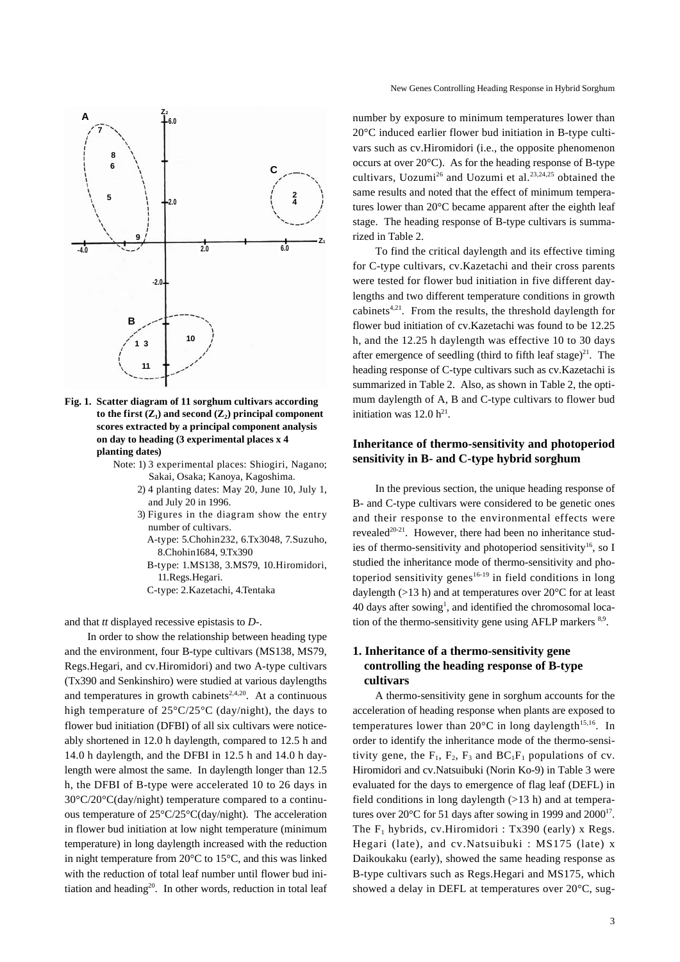

**Fig. 1. Scatter diagram of 11 sorghum cultivars according**  to the first  $(Z_1)$  and second  $(Z_2)$  principal component **scores extracted by a principal component analysis on day to heading (3 experimental places x 4 planting dates)**

- Note: 1) 3 experimental places: Shiogiri, Nagano; Sakai, Osaka; Kanoya, Kagoshima.
	- 2) 4 planting dates: May 20, June 10, July 1, and July 20 in 1996.
	- 3) Figures in the diagram show the entry number of cultivars.
		- A- type: 5.Chohin232, 6.Tx3048, 7.Suzuho, 8.Chohin1684, 9.Tx390
		- B- type: 1.MS138, 3.MS79, 10.Hiromidori, 11.Regs.Hegari.
		- C-type: 2.Kazetachi, 4.Tentaka

and that *tt* displayed recessive epistasis to *D-*.

In order to show the relationship between heading type and the environment, four B-type cultivars (MS138, MS79, Regs.Hegari, and cv.Hiromidori) and two A-type cultivars (Tx390 and Senkinshiro) were studied at various daylengths and temperatures in growth cabinets<sup>2,4,20</sup>. At a continuous high temperature of 25°C/25°C (day/night), the days to flower bud initiation (DFBI) of all six cultivars were noticeably shortened in 12.0 h daylength, compared to 12.5 h and 14.0 h daylength, and the DFBI in 12.5 h and 14.0 h daylength were almost the same. In daylength longer than 12.5 h, the DFBI of B-type were accelerated 10 to 26 days in 30°C/20°C(day/night) temperature compared to a continuous temperature of 25°C/25°C(day/night). The acceleration in flower bud initiation at low night temperature (minimum temperature) in long daylength increased with the reduction in night temperature from 20°C to 15°C, and this was linked with the reduction of total leaf number until flower bud initiation and heading<sup>20</sup>. In other words, reduction in total leaf

number by exposure to minimum temperatures lower than 20°C induced earlier flower bud initiation in B-type cultivars such as cv.Hiromidori (i.e., the opposite phenomenon occurs at over 20°C). As for the heading response of B-type cultivars, Uozumi<sup>26</sup> and Uozumi et al.<sup>23,24,25</sup> obtained the same results and noted that the effect of minimum temperatures lower than 20°C became apparent after the eighth leaf stage. The heading response of B-type cultivars is summarized in Table 2.

To find the critical daylength and its effective timing for C-type cultivars, cv.Kazetachi and their cross parents were tested for flower bud initiation in five different daylengths and two different temperature conditions in growth cabinets<sup>4,21</sup>. From the results, the threshold daylength for flower bud initiation of cv.Kazetachi was found to be 12.25 h, and the 12.25 h daylength was effective 10 to 30 days after emergence of seedling (third to fifth leaf stage) $^{21}$ . The heading response of C-type cultivars such as cv.Kazetachi is summarized in Table 2. Also, as shown in Table 2, the optimum daylength of A, B and C-type cultivars to flower bud initiation was  $12.0 h^{21}$ .

## **Inheritance of thermo-sensitivity and photoperiod sensitivity in B- and C-type hybrid sorghum**

In the previous section, the unique heading response of B- and C-type cultivars were considered to be genetic ones and their response to the environmental effects were revealed<sup>20-21</sup>. However, there had been no inheritance studies of thermo-sensitivity and photoperiod sensitivity<sup>16</sup>, so I studied the inheritance mode of thermo-sensitivity and photoperiod sensitivity genes<sup>16-19</sup> in field conditions in long daylength (>13 h) and at temperatures over 20°C for at least 40 days after sowing<sup>1</sup>, and identified the chromosomal location of the thermo-sensitivity gene using AFLP markers  $8.9$ .

# **1. Inheritance of a thermo-sensitivity gene controlling the heading response of B-type cultivars**

A thermo-sensitivity gene in sorghum accounts for the acceleration of heading response when plants are exposed to temperatures lower than  $20^{\circ}$ C in long daylength<sup>15,16</sup>. In order to identify the inheritance mode of the thermo-sensitivity gene, the  $F_1$ ,  $F_2$ ,  $F_3$  and  $BC_1F_1$  populations of cv. Hiromidori and cv.Natsuibuki (Norin Ko-9) in Table 3 were evaluated for the days to emergence of flag leaf (DEFL) in field conditions in long daylength  $(>13 h)$  and at temperatures over  $20^{\circ}$ C for 51 days after sowing in 1999 and  $2000^{17}$ . The  $F_1$  hybrids, cv. Hiromidori : Tx390 (early) x Regs. Hegari (late), and cv.Natsuibuki : MS175 (late) x Daikoukaku (early), showed the same heading response as B-type cultivars such as Regs.Hegari and MS175, which showed a delay in DEFL at temperatures over 20°C, sug-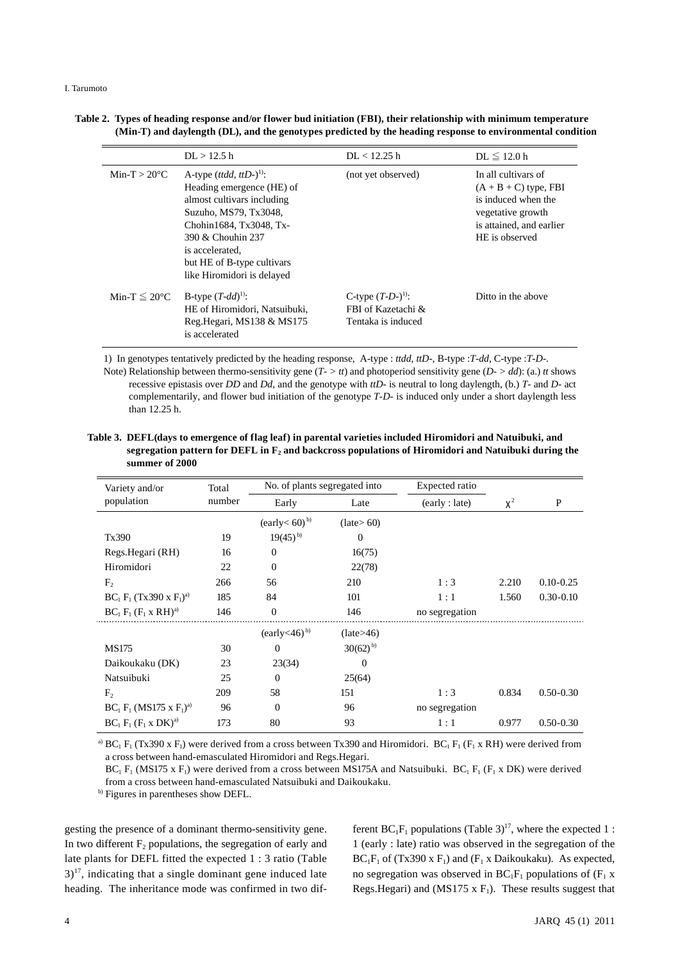| Table 2. Types of heading response and/or flower bud initiation (FBI), their relationship with minimum temperature |  |
|--------------------------------------------------------------------------------------------------------------------|--|
| (Min-T) and daylength (DL), and the genotypes predicted by the heading response to environmental condition         |  |

|                           | DL > 12.5 h                                                                                                                                                                                                                                              | DL < 12.25 h                                                        | $DL \leq 12.0 h$                                                                                                                         |
|---------------------------|----------------------------------------------------------------------------------------------------------------------------------------------------------------------------------------------------------------------------------------------------------|---------------------------------------------------------------------|------------------------------------------------------------------------------------------------------------------------------------------|
| Min-T $> 20^{\circ}$ C    | A-type $(ttdd, ttD-)$ <sup>1)</sup> :<br>Heading emergence (HE) of<br>almost cultivars including<br>Suzuho, MS79, Tx3048.<br>Chohin1684, Tx3048, Tx-<br>390 & Chouhin 237<br>is accelerated.<br>but HE of B-type cultivars<br>like Hiromidori is delayed | (not yet observed)                                                  | In all cultivars of<br>$(A + B + C)$ type, FBI<br>is induced when the<br>vegetative growth<br>is attained, and earlier<br>HE is observed |
| Min-T $\leq 20^{\circ}$ C | B-type $(T-dd)^{1}$ :<br>HE of Hiromidori, Natsuibuki,<br>Reg. Hegari, MS138 & MS175<br>is accelerated                                                                                                                                                   | C-type $(T-D-)^{(1)}$ :<br>FBI of Kazetachi &<br>Tentaka is induced | Ditto in the above                                                                                                                       |

1) In genotypes tentatively predicted by the heading response, A-type : *ttdd*, *ttD-*, B-type :*T-dd*, C-type :*T-D-*. Note) Relationship between thermo-sensitivity gene (*T- > tt*) and photoperiod sensitivity gene (*D- > dd*): (a.) *tt* shows recessive epistasis over *DD* and *Dd*, and the genotype with *ttD-* is neutral to long daylength, (b.) *T-* and *D-* act complementarily, and flower bud initiation of the genotype *T-D-* is induced only under a short daylength less than 12.25 h.

| Table 3. DEFL(days to emergence of flag leaf) in parental varieties included Hiromidori and Natuibuki, and |
|------------------------------------------------------------------------------------------------------------|
| segregation pattern for DEFL in $F_2$ and backcross populations of Hiromidori and Natuibuki during the     |
| summer of 2000                                                                                             |

| Variety and/or                    | Total  | No. of plants segregated into       |                        | Expected ratio |       |               |
|-----------------------------------|--------|-------------------------------------|------------------------|----------------|-------|---------------|
| population                        | number | Early                               | Late                   | (early : late) | $x^2$ | P             |
|                                   |        | $\text{(early} < 60)^{b}$           | $(\text{late} > 60)$   |                |       |               |
| Tx390                             | 19     | $19(45)$ <sup>b)</sup>              | $\overline{0}$         |                |       |               |
| Regs. Hegari (RH)                 | 16     | $\theta$                            | 16(75)                 |                |       |               |
| Hiromidori                        | 22     | $\Omega$                            | 22(78)                 |                |       |               |
| F <sub>2</sub>                    | 266    | 56                                  | 210                    | 1:3            | 2.210 | $0.10 - 0.25$ |
| $BC_1 F_1 (Tx390 \times F_1)^{a}$ | 185    | 84                                  | 101                    | 1:1            | 1.560 | $0.30 - 0.10$ |
| $BC_1 F_1 (F_1 x RH)^{a}$         | 146    | $\mathbf{0}$                        | 146                    | no segregation |       |               |
|                                   |        | $\text{(early} < 46)$ <sup>b)</sup> | (late>46)              |                |       |               |
| <b>MS175</b>                      | 30     | $\overline{0}$                      | $30(62)$ <sup>b)</sup> |                |       |               |
| Daikoukaku (DK)                   | 23     | 23(34)                              | $\theta$               |                |       |               |
| Natsuibuki                        | 25     | $\Omega$                            | 25(64)                 |                |       |               |
| F <sub>2</sub>                    | 209    | 58                                  | 151                    | 1:3            | 0.834 | $0.50 - 0.30$ |
| $BC_1 F_1 (MS175 \times F_1)^{a}$ | 96     | $\boldsymbol{0}$                    | 96                     | no segregation |       |               |
| $BC_1 F_1 (F_1 x DK)^{a}$         | 173    | 80                                  | 93                     | 1:1            | 0.977 | $0.50 - 0.30$ |

<sup>a)</sup> BC<sub>1</sub> F<sub>1</sub> (Tx390 x F<sub>1</sub>) were derived from a cross between Tx390 and Hiromidori. BC<sub>1</sub> F<sub>1</sub> (F<sub>1</sub> x RH) were derived from a cross between hand-emasculated Hiromidori and Regs.Hegari.

 $BC_1$  F<sub>1</sub> (MS175 x F<sub>1</sub>) were derived from a cross between MS175A and Natsuibuki.  $BC_1$  F<sub>1</sub> (F<sub>1</sub> x DK) were derived from a cross between hand-emasculated Natsuibuki and Daikoukaku.

b) Figures in parentheses show DEFL.

gesting the presence of a dominant thermo-sensitivity gene. In two different  $F_2$  populations, the segregation of early and late plants for DEFL fitted the expected 1 : 3 ratio (Table  $3$ <sup>17</sup>, indicating that a single dominant gene induced late heading. The inheritance mode was confirmed in two different  $BC_1F_1$  populations (Table 3)<sup>17</sup>, where the expected 1 : 1 (early : late) ratio was observed in the segregation of the  $BC_1F_1$  of (Tx390 x F<sub>1</sub>) and (F<sub>1</sub> x Daikoukaku). As expected, no segregation was observed in  $BC_1F_1$  populations of  $(F_1 x)$ Regs.Hegari) and (MS175 x  $F_1$ ). These results suggest that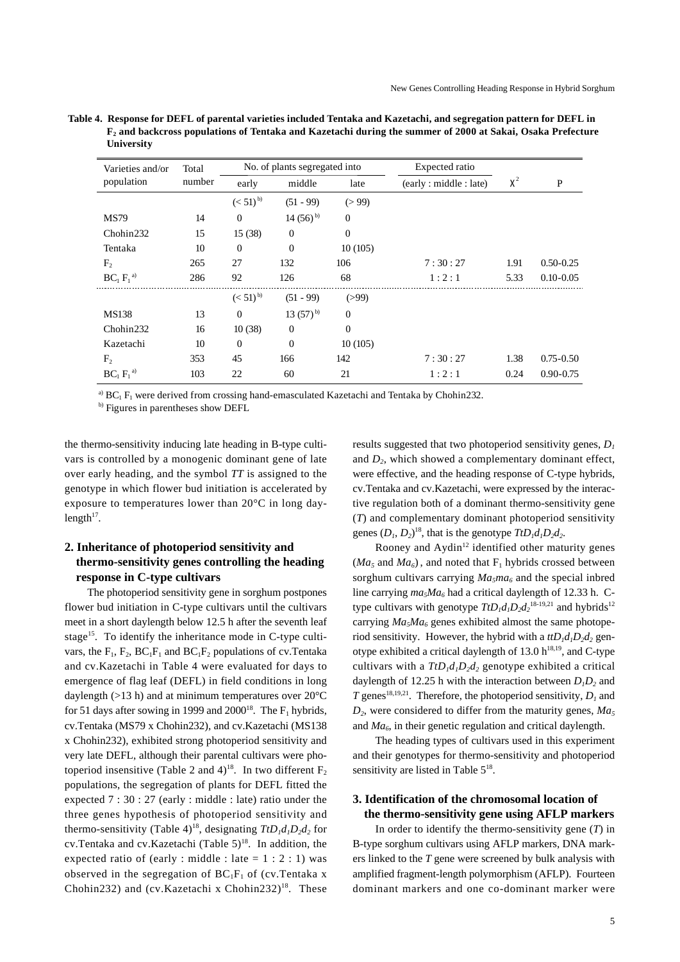| Varieties and/or | Total<br>number | No. of plants segregated into |                | Expected ratio |                       |       |               |
|------------------|-----------------|-------------------------------|----------------|----------------|-----------------------|-------|---------------|
| population       |                 | early                         | middle         | late           | (early: middle: late) | $x^2$ | P             |
|                  |                 | $(< 51)^{b}$                  | $(51 - 99)$    | (>99)          |                       |       |               |
| <b>MS79</b>      | 14              | $\Omega$                      | 14 $(56)^{b}$  | $\mathbf{0}$   |                       |       |               |
| Chohin232        | 15              | 15(38)                        | $\mathbf{0}$   | $\theta$       |                       |       |               |
| Tentaka          | 10              | $\mathbf{0}$                  | $\mathbf{0}$   | 10(105)        |                       |       |               |
| $F_{2}$          | 265             | 27                            | 132            | 106            | 7:30:27               | 1.91  | $0.50 - 0.25$ |
| $BC_1 F_1^{a)}$  | 286             | 92                            | 126            | 68             | 1:2:1                 | 5.33  | $0.10 - 0.05$ |
|                  |                 | $(< 51)^{b}$                  | $(51 - 99)$    | (>99)          |                       |       |               |
| <b>MS138</b>     | 13              | $\mathbf{0}$                  | 13 $(57)^{b}$  | $\mathbf{0}$   |                       |       |               |
| Chohin232        | 16              | 10(38)                        | $\overline{0}$ | $\mathbf{0}$   |                       |       |               |
| Kazetachi        | 10              | $\Omega$                      | $\Omega$       | 10(105)        |                       |       |               |
| F <sub>2</sub>   | 353             | 45                            | 166            | 142            | 7:30:27               | 1.38  | $0.75 - 0.50$ |
| $BC_1 F_1^{a)}$  | 103             | 22                            | 60             | 21             | 1:2:1                 | 0.24  | $0.90 - 0.75$ |

**Table 4. Response for DEFL of parental varieties included Tentaka and Kazetachi, and segregation pattern for DEFL in F2 and backcross populations of Tentaka and Kazetachi during the summer of 2000 at Sakai, Osaka Prefecture University**

<sup>a)</sup>  $BC_1$  F<sub>1</sub> were derived from crossing hand-emasculated Kazetachi and Tentaka by Chohin232.

b) Figures in parentheses show DEFL

the thermo-sensitivity inducing late heading in B-type cultivars is controlled by a monogenic dominant gene of late over early heading, and the symbol *TT* is assigned to the genotype in which flower bud initiation is accelerated by exposure to temperatures lower than 20°C in long daylength $17$ .

## **2. Inheritance of photoperiod sensitivity and thermo-sensitivity genes controlling the heading response in C-type cultivars**

The photoperiod sensitivity gene in sorghum postpones flower bud initiation in C-type cultivars until the cultivars meet in a short daylength below 12.5 h after the seventh leaf stage<sup>15</sup>. To identify the inheritance mode in C-type cultivars, the  $F_1$ ,  $F_2$ ,  $BC_1F_1$  and  $BC_1F_2$  populations of cv. Tentaka and cv.Kazetachi in Table 4 were evaluated for days to emergence of flag leaf (DEFL) in field conditions in long daylength ( $>13$  h) and at minimum temperatures over  $20^{\circ}$ C for 51 days after sowing in 1999 and 2000<sup>18</sup>. The  $F_1$  hybrids, cv.Tentaka (MS79 x Chohin232), and cv.Kazetachi (MS138 x Chohin232), exhibited strong photoperiod sensitivity and very late DEFL, although their parental cultivars were photoperiod insensitive (Table 2 and 4)<sup>18</sup>. In two different  $F_2$ populations, the segregation of plants for DEFL fitted the expected 7 : 30 : 27 (early : middle : late) ratio under the three genes hypothesis of photoperiod sensitivity and thermo-sensitivity (Table 4)<sup>18</sup>, designating  $TtD_1d_1D_2d_2$  for cv.Tentaka and cv.Kazetachi (Table  $5)^{18}$ . In addition, the expected ratio of (early : middle : late =  $1 : 2 : 1$ ) was observed in the segregation of  $BC_1F_1$  of (cv. Tentaka x Chohin232) and (cv.Kazetachi x Chohin232)<sup>18</sup>. These results suggested that two photoperiod sensitivity genes, *D1* and  $D<sub>2</sub>$ , which showed a complementary dominant effect, were effective, and the heading response of C-type hybrids, cv.Tentaka and cv.Kazetachi, were expressed by the interactive regulation both of a dominant thermo-sensitivity gene (*T*) and complementary dominant photoperiod sensitivity genes  $(D_1, D_2)^{18}$ , that is the genotype  $TtD_1d_1D_2d_2$ .

Rooney and  $Aydin^{12}$  identified other maturity genes  $(Ma<sub>5</sub>$  and  $Ma<sub>6</sub>)$ , and noted that F<sub>1</sub> hybrids crossed between sorghum cultivars carrying  $Ma_5ma_6$  and the special inbred line carrying  $ma_5Ma_6$  had a critical daylength of 12.33 h. Ctype cultivars with genotype  $TtD_1d_1D_2d_2^{18-19,21}$  and hybrids<sup>12</sup> carrying  $Ma<sub>5</sub>Ma<sub>6</sub>$  genes exhibited almost the same photoperiod sensitivity. However, the hybrid with a  $\frac{t}{D_1d_1D_2d_2}$  genotype exhibited a critical daylength of 13.0  $h^{18,19}$ , and C-type cultivars with a  $TtD_1d_1D_2d_2$  genotype exhibited a critical daylength of 12.25 h with the interaction between  $D_1D_2$  and *T* genes<sup>18,19,21</sup>. Therefore, the photoperiod sensitivity,  $D_l$  and  $D_2$ , were considered to differ from the maturity genes,  $Ma_5$ and *Ma6*, in their genetic regulation and critical daylength.

The heading types of cultivars used in this experiment and their genotypes for thermo-sensitivity and photoperiod sensitivity are listed in Table 5<sup>18</sup>.

#### **3. Identification of the chromosomal location of the thermo-sensitivity gene using AFLP markers**

In order to identify the thermo-sensitivity gene (*T*) in B-type sorghum cultivars using AFLP markers, DNA markers linked to the *T* gene were screened by bulk analysis with amplified fragment-length polymorphism (AFLP). Fourteen dominant markers and one co-dominant marker were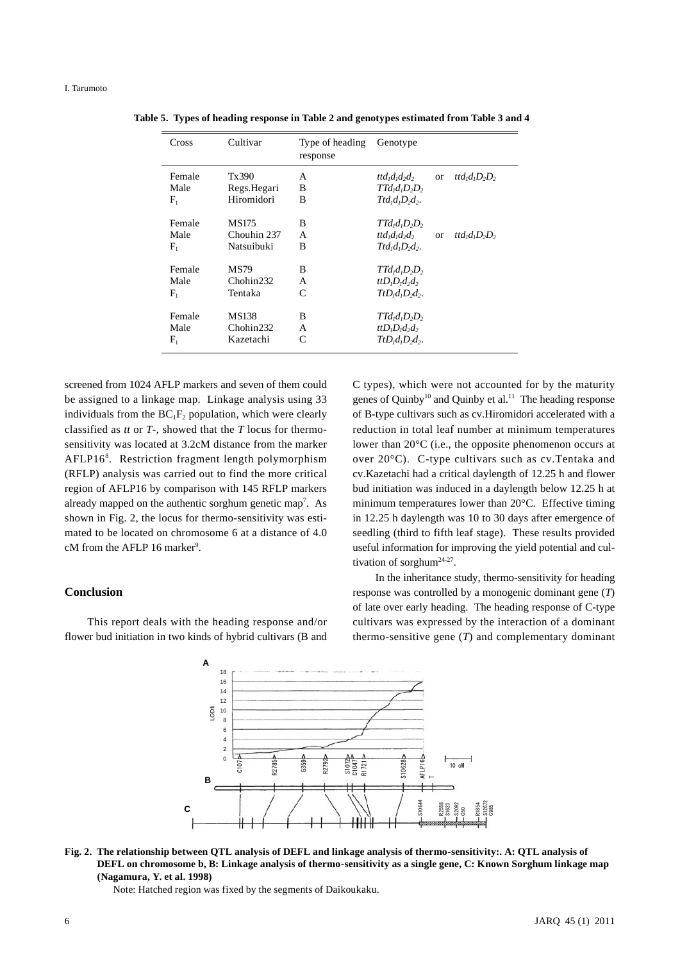| Cross                         | Cultivar                               | Type of heading<br>response | Genotype                                                                                            |                                           |
|-------------------------------|----------------------------------------|-----------------------------|-----------------------------------------------------------------------------------------------------|-------------------------------------------|
| Female<br>Male<br>$\rm F_i$   | Tx390<br>Regs.Hegari<br>Hiromidori     | A<br>B<br>B                 | $ttd_1d_1d_2d_2$<br>$TTd1d1D2D2$<br>$Ttd_1d_1D_2d_2$ .                                              | $trd1d1D2D2$<br><b>or</b>                 |
| Female<br>Male<br>$\rm F_i$   | MS175<br>Chouhin 237<br>Natsuibuki     | B<br>A<br>B                 | $TTd1d1D2D2$<br>ttd <sub>i</sub> d <sub>i</sub> d <sub>2</sub> d <sub>2</sub><br>$Ttd_1d_1D_2d_2$ . | ttd <sub>1</sub> $d_1D_2D_2$<br><b>or</b> |
| Female<br>Male<br>$\rm F_{1}$ | <b>MS79</b><br>Chohin232<br>Tentaka    | B<br>A<br>C                 | $TTd1d1D2D2$<br>$ttD_1D_1d_2d_2$<br>$TtD_id_1D_2d_2$ .                                              |                                           |
| Female<br>Male<br>$\rm F_i$   | <b>MS138</b><br>Chohin232<br>Kazetachi | B<br>A<br>C                 | $TTd1d1D2D2$<br>$ttD_1D_1d_2d_2$<br>$TtD_1d_1D_2d_2$ .                                              |                                           |

**Table 5. Types of heading response in Table 2 and genotypes estimated from Table 3 and 4**

screened from 1024 AFLP markers and seven of them could be assigned to a linkage map. Linkage analysis using 33 individuals from the  $BC_1F_2$  population, which were clearly classified as *tt* or *T-*, showed that the *T* locus for thermosensitivity was located at 3.2cM distance from the marker AFLP16<sup>8</sup>. Restriction fragment length polymorphism (RFLP) analysis was carried out to find the more critical region of AFLP16 by comparison with 145 RFLP markers already mapped on the authentic sorghum genetic map<sup>7</sup>. As shown in Fig. 2, the locus for thermo-sensitivity was estimated to be located on chromosome 6 at a distance of 4.0 cM from the AFLP 16 marker<sup>9</sup>.

#### **Conclusion**

This report deals with the heading response and/or flower bud initiation in two kinds of hybrid cultivars (B and C types), which were not accounted for by the maturity genes of Quinby<sup>10</sup> and Quinby et al.<sup>11</sup> The heading response of B-type cultivars such as cv.Hiromidori accelerated with a reduction in total leaf number at minimum temperatures lower than 20°C (i.e., the opposite phenomenon occurs at over 20°C). C-type cultivars such as cv.Tentaka and cv.Kazetachi had a critical daylength of 12.25 h and flower bud initiation was induced in a daylength below 12.25 h at minimum temperatures lower than 20°C. Effective timing in 12.25 h daylength was 10 to 30 days after emergence of seedling (third to fifth leaf stage). These results provided useful information for improving the yield potential and cultivation of sorghum<sup>24-27</sup>.

In the inheritance study, thermo-sensitivity for heading response was controlled by a monogenic dominant gene (*T*) of late over early heading. The heading response of C-type cultivars was expressed by the interaction of a dominant thermo-sensitive gene (*T*) and complementary dominant



**Fig. 2. The relationship between QTL analysis of DEFL and linkage analysis of thermo-sensitivity:. A: QTL analysis of DEFL on chromosome b, B: Linkage analysis of thermo-sensitivity as a single gene, C: Known Sorghum linkage map (Nagamura, Y. et al. 1998)**

Note: Hatched region was fixed by the segments of Daikoukaku.